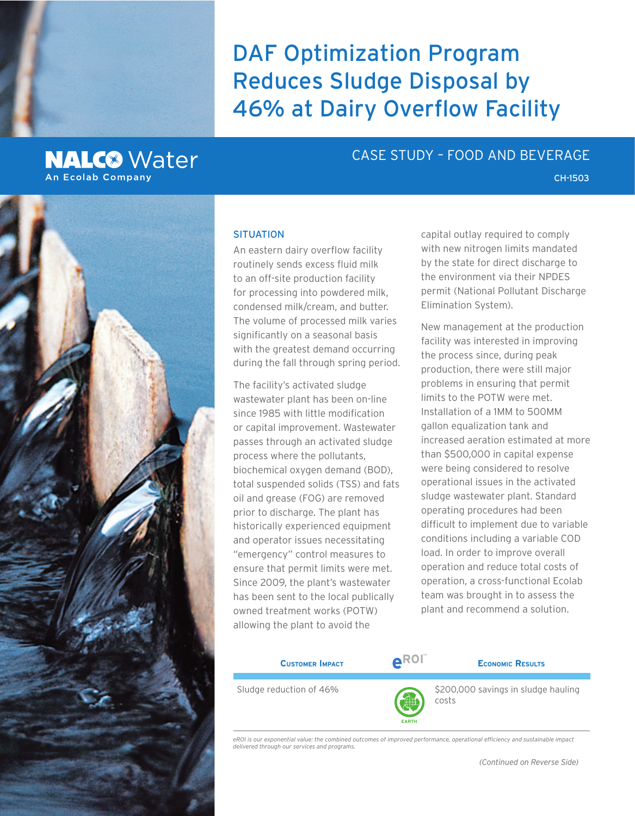

# **NALC<sup>®</sup>** Water **An Ecolab Company**

## CASE STUDY – FOOD AND BEVERAGE

#### **SITUATION**

An eastern dairy overflow facility routinely sends excess fluid milk to an off-site production facility for processing into powdered milk, condensed milk/cream, and butter. The volume of processed milk varies significantly on a seasonal basis with the greatest demand occurring during the fall through spring period.

The facility's activated sludge wastewater plant has been on-line since 1985 with little modification or capital improvement. Wastewater passes through an activated sludge process where the pollutants, biochemical oxygen demand (BOD), total suspended solids (TSS) and fats oil and grease (FOG) are removed prior to discharge. The plant has historically experienced equipment and operator issues necessitating "emergency" control measures to ensure that permit limits were met. Since 2009, the plant's wastewater has been sent to the local publically owned treatment works (POTW) allowing the plant to avoid the

capital outlay required to comply with new nitrogen limits mandated by the state for direct discharge to the environment via their NPDES permit (National Pollutant Discharge Elimination System).

CH-1503

New management at the production facility was interested in improving the process since, during peak production, there were still major problems in ensuring that permit limits to the POTW were met. Installation of a 1MM to 500MM gallon equalization tank and increased aeration estimated at more than \$500,000 in capital expense were being considered to resolve operational issues in the activated sludge wastewater plant. Standard operating procedures had been difficult to implement due to variable conditions including a variable COD load. In order to improve overall operation and reduce total costs of operation, a cross-functional Ecolab team was brought in to assess the plant and recommend a solution.

| <b>CUSTOMER IMPACT</b>  | <b>AROI</b> | <b>ECONOMIC RESULTS</b>             |
|-------------------------|-------------|-------------------------------------|
|                         |             |                                     |
| Sludge reduction of 46% | A           | \$200,000 savings in sludge hauling |

*eROI is our exponential value: the combined outcomes of improved performance, operational efficiency and sustainable impact delivered through our services and programs.*

**EARTH**